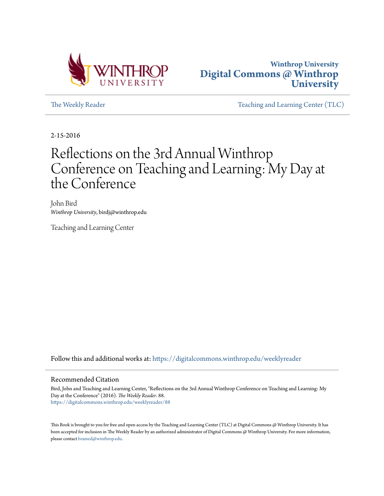



[The Weekly Reader](https://digitalcommons.winthrop.edu/weeklyreader?utm_source=digitalcommons.winthrop.edu%2Fweeklyreader%2F88&utm_medium=PDF&utm_campaign=PDFCoverPages) The Weekly Reader [Teaching and Learning Center \(TLC\)](https://digitalcommons.winthrop.edu/tlc?utm_source=digitalcommons.winthrop.edu%2Fweeklyreader%2F88&utm_medium=PDF&utm_campaign=PDFCoverPages)

2-15-2016

### Reflections on the 3rd Annual Winthrop Conference on Teaching and Learning: My Day at the Conference

John Bird *Winthrop University*, birdj@winthrop.edu

Teaching and Learning Center

Follow this and additional works at: [https://digitalcommons.winthrop.edu/weeklyreader](https://digitalcommons.winthrop.edu/weeklyreader?utm_source=digitalcommons.winthrop.edu%2Fweeklyreader%2F88&utm_medium=PDF&utm_campaign=PDFCoverPages)

### Recommended Citation

Bird, John and Teaching and Learning Center, "Reflections on the 3rd Annual Winthrop Conference on Teaching and Learning: My Day at the Conference" (2016). *The Weekly Reader*. 88. [https://digitalcommons.winthrop.edu/weeklyreader/88](https://digitalcommons.winthrop.edu/weeklyreader/88?utm_source=digitalcommons.winthrop.edu%2Fweeklyreader%2F88&utm_medium=PDF&utm_campaign=PDFCoverPages)

This Book is brought to you for free and open access by the Teaching and Learning Center (TLC) at Digital Commons @ Winthrop University. It has been accepted for inclusion in The Weekly Reader by an authorized administrator of Digital Commons @ Winthrop University. For more information, please contact [bramed@winthrop.edu](mailto:bramed@winthrop.edu).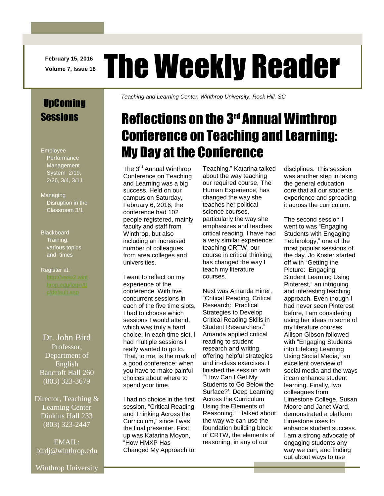**February 15, 2016**

# **February 15, 2016** The Weekly Reader

### UpComing Sessions

Employee **Performance** Management System 2/19, 2/26, 3/4, 3/11

Managing Disruption in the Classroom 3/1

### **Blackboard** Training, various topics and times

## Register at:

Dr. John Bird Professor, Department of English Bancroft Hall 260 (803) 323-3679

Director, Teaching & Learning Center Dinkins Hall 233 (803) 323-2447

EMAIL: [birdj@winthrop.edu](mailto:birdj@winthrop.edu) *Teaching and Learning Center, Winthrop University, Rock Hill, SC*

### Reflections on the 3rd Annual Winthrop Conference on Teaching and Learning: My Day at the Conference

The 3<sup>rd</sup> Annual Winthrop Conference on Teaching and Learning was a big success. Held on our campus on Saturday, February 6, 2016, the conference had 102 people registered, mainly faculty and staff from Winthrop, but also including an increased number of colleagues from area colleges and universities.

I want to reflect on my experience of the conference. With five concurrent sessions in each of the five time slots, I had to choose which sessions I would attend, which was truly a hard choice. In each time slot, I had multiple sessions I really wanted to go to. That, to me, is the mark of a good conference: when you have to make painful choices about where to spend your time.

I had no choice in the first session, "Critical Reading and Thinking Across the Curriculum," since I was the final presenter. First up was Katarina Moyon, "How HMXP Has Changed My Approach to

Teaching." Katarina talked about the way teaching our required course, The Human Experience, has changed the way she teaches her political science courses, particularly the way she emphasizes and teaches critical reading. I have had a very similar experience: teaching CRTW, our course in critical thinking, has changed the way I teach my literature courses.

Next was Amanda Hiner, "Critical Reading, Critical Research: Practical Strategies to Develop Critical Reading Skills in Student Researchers." Amanda applied critical reading to student research and writing, offering helpful strategies and in-class exercises. I finished the session with "'How Can I Get My Students to Go Below the Surface?': Deep Learning Across the Curriculum Using the Elements of Reasoning." I talked about the way we can use the foundation building block of CRTW, the elements of reasoning, in any of our

disciplines. This session was another step in taking the general education core that all our students experience and spreading it across the curriculum.

The second session I went to was "Engaging Students with Engaging Technology," one of the most popular sessions of the day. Jo Koster started off with "Getting the Picture: Engaging Student Learning Using Pinterest," an intriguing and interesting teaching approach. Even though I had never seen Pinterest before, I am considering using her ideas in some of my literature courses. Allison Gibson followed with "Engaging Students into Lifelong Learning Using Social Media," an excellent overview of social media and the ways it can enhance student learning. Finally, two colleagues from Limestone College, Susan Moore and Janet Ward, demonstrated a platform Limestone uses to enhance student success. I am a strong advocate of engaging students any way we can, and finding out about ways to use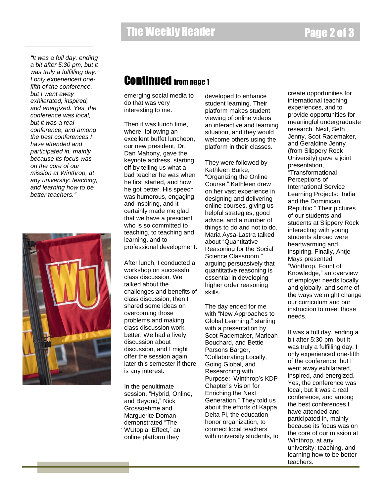*"It was a full day, ending a bit after 5:30 pm, but it was truly a fulfilling day. I only experienced onefifth of the conference, but I went away exhilarated, inspired, and energized. Yes, the conference was local, but it was a real conference, and among the best conferences I have attended and participated in, mainly because its focus was on the core of our mission at Winthrop, at any university: teaching, and learning how to be better teachers."*



### Continued from page 1

emerging social media to do that was very interesting to me.

Then it was lunch time, where, following an excellent buffet luncheon, our new president, Dr. Dan Mahony, gave the keynote address, starting off by telling us what a bad teacher he was when he first started, and how he got better. His speech was humorous, engaging, and inspiring, and it certainly made me glad that we have a president who is so committed to teaching, to teaching and learning, and to professional development.

After lunch, I conducted a workshop on successful class discussion. We talked about the challenges and benefits of class discussion, then I shared some ideas on overcoming those problems and making class discussion work better. We had a lively discussion about discussion, and I might offer the session again later this semester if there is any interest.

In the penultimate session, "Hybrid, Online, and Beyond," Nick Grossoehme and Marguerite Doman demonstrated "The WUtopia! Effect," an . online platform they

developed to enhance student learning. Their platform makes student viewing of online videos an interactive and learning situation, and they would welcome others using the platform in their classes.

They were followed by Kathleen Burke, "Organizing the Online Course." Kathleen drew on her vast experience in designing and delivering online courses, giving us helpful strategies, good advice, and a number of things to do and not to do. Maria Aysa-Lastra talked about "Quantitative Reasoning for the Social Science Classroom," arguing persuasively that quantitative reasoning is essential in developing higher order reasoning skills.

The day ended for me with "New Approaches to Global Learning," starting with a presentation by Scot Rademaker, Marleah Bouchard, and Bettie Parsons Barger, "Collaborating Locally, Going Global, and Researching with Purpose: Winthrop's KDP Chapter's Vision for Enriching the Next Generation." They told us about the efforts of Kappa Delta Pi, the education honor organization, to connect local teachers with university students, to create opportunities for international teaching experiences, and to provide opportunities for meaningful undergraduate research. Next, Seth Jenny, Scot Rademaker, and Geraldine Jenny (from Slippery Rock University) gave a joint presentation, "Transformational Perceptions of International Service Learning Projects: India and the Dominican Republic." Their pictures of our students and students at Slippery Rock interacting with young students abroad were heartwarming and inspiring. Finally, Antje Mays presented "Winthrop, Fount of Knowledge," an overview of employer needs locally and globally, and some of the ways we might change our curriculum and our instruction to meet those needs.

It was a full day, ending a bit after 5:30 pm, but it was truly a fulfilling day. I only experienced one-fifth of the conference, but I went away exhilarated, inspired, and energized. Yes, the conference was local, but it was a real conference, and among the best conferences I have attended and participated in, mainly because its focus was on the core of our mission at Winthrop, at any university: teaching, and learning how to be better teachers.